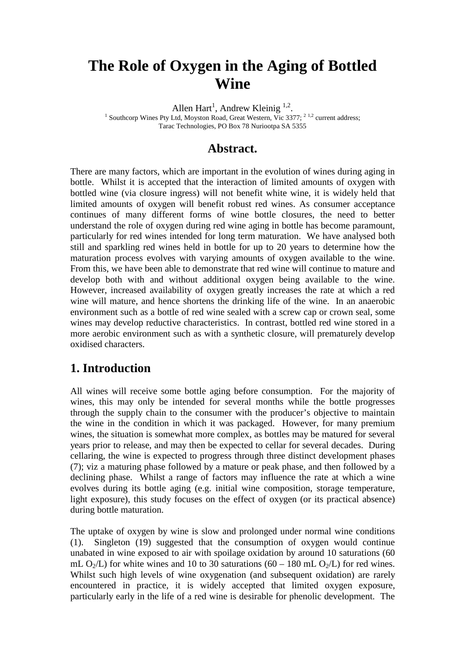# **The Role of Oxygen in the Aging of Bottled Wine**

Allen Hart<sup>1</sup>, Andrew Kleinig<sup>1,2</sup>.<br><sup>1</sup> Southears Wines Pty Ltd, Moustan Boad, Great Western, Via 233

<sup>1</sup> Southcorp Wines Pty Ltd, Moyston Road, Great Western, Vic 3377; <sup>2 1,2</sup> current address; Tarac Technologies, PO Box 78 Nuriootpa SA 5355

#### **Abstract.**

There are many factors, which are important in the evolution of wines during aging in bottle. Whilst it is accepted that the interaction of limited amounts of oxygen with bottled wine (via closure ingress) will not benefit white wine, it is widely held that limited amounts of oxygen will benefit robust red wines. As consumer acceptance continues of many different forms of wine bottle closures, the need to better understand the role of oxygen during red wine aging in bottle has become paramount, particularly for red wines intended for long term maturation. We have analysed both still and sparkling red wines held in bottle for up to 20 years to determine how the maturation process evolves with varying amounts of oxygen available to the wine. From this, we have been able to demonstrate that red wine will continue to mature and develop both with and without additional oxygen being available to the wine. However, increased availability of oxygen greatly increases the rate at which a red wine will mature, and hence shortens the drinking life of the wine. In an anaerobic environment such as a bottle of red wine sealed with a screw cap or crown seal, some wines may develop reductive characteristics. In contrast, bottled red wine stored in a more aerobic environment such as with a synthetic closure, will prematurely develop oxidised characters.

## **1. Introduction**

All wines will receive some bottle aging before consumption. For the majority of wines, this may only be intended for several months while the bottle progresses through the supply chain to the consumer with the producer's objective to maintain the wine in the condition in which it was packaged. However, for many premium wines, the situation is somewhat more complex, as bottles may be matured for several years prior to release, and may then be expected to cellar for several decades. During cellaring, the wine is expected to progress through three distinct development phases (7); viz a maturing phase followed by a mature or peak phase, and then followed by a declining phase. Whilst a range of factors may influence the rate at which a wine evolves during its bottle aging (e.g. initial wine composition, storage temperature, light exposure), this study focuses on the effect of oxygen (or its practical absence) during bottle maturation.

The uptake of oxygen by wine is slow and prolonged under normal wine conditions (1). Singleton (19) suggested that the consumption of oxygen would continue unabated in wine exposed to air with spoilage oxidation by around 10 saturations (60 mL  $O_2/L$ ) for white wines and 10 to 30 saturations (60 – 180 mL  $O_2/L$ ) for red wines. Whilst such high levels of wine oxygenation (and subsequent oxidation) are rarely encountered in practice, it is widely accepted that limited oxygen exposure, particularly early in the life of a red wine is desirable for phenolic development. The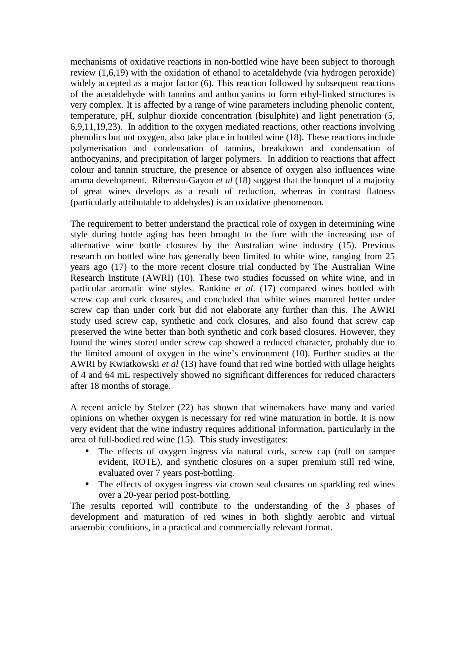mechanisms of oxidative reactions in non-bottled wine have been subject to thorough review (1,6,19) with the oxidation of ethanol to acetaldehyde (via hydrogen peroxide) widely accepted as a major factor (6). This reaction followed by subsequent reactions of the acetaldehyde with tannins and anthocyanins to form ethyl-linked structures is very complex. It is affected by a range of wine parameters including phenolic content, temperature, pH, sulphur dioxide concentration (bisulphite) and light penetration (5, 6,9,11,19,23). In addition to the oxygen mediated reactions, other reactions involving phenolics but not oxygen, also take place in bottled wine (18). These reactions include polymerisation and condensation of tannins, breakdown and condensation of anthocyanins, and precipitation of larger polymers. In addition to reactions that affect colour and tannin structure, the presence or absence of oxygen also influences wine aroma development. Ribereau-Gayon *et al* (18) suggest that the bouquet of a majority of great wines develops as a result of reduction, whereas in contrast flatness (particularly attributable to aldehydes) is an oxidative phenomenon.

The requirement to better understand the practical role of oxygen in determining wine style during bottle aging has been brought to the fore with the increasing use of alternative wine bottle closures by the Australian wine industry (15). Previous research on bottled wine has generally been limited to white wine, ranging from 25 years ago (17) to the more recent closure trial conducted by The Australian Wine Research Institute (AWRI) (10). These two studies focussed on white wine, and in particular aromatic wine styles. Rankine *et al*. (17) compared wines bottled with screw cap and cork closures, and concluded that white wines matured better under screw cap than under cork but did not elaborate any further than this. The AWRI study used screw cap, synthetic and cork closures, and also found that screw cap preserved the wine better than both synthetic and cork based closures. However, they found the wines stored under screw cap showed a reduced character, probably due to the limited amount of oxygen in the wine's environment (10). Further studies at the AWRI by Kwiatkowski *et al* (13) have found that red wine bottled with ullage heights of 4 and 64 mL respectively showed no significant differences for reduced characters after 18 months of storage.

A recent article by Stelzer (22) has shown that winemakers have many and varied opinions on whether oxygen is necessary for red wine maturation in bottle. It is now very evident that the wine industry requires additional information, particularly in the area of full-bodied red wine (15). This study investigates:

- The effects of oxygen ingress via natural cork, screw cap (roll on tamper evident, ROTE), and synthetic closures on a super premium still red wine, evaluated over 7 years post-bottling.
- The effects of oxygen ingress via crown seal closures on sparkling red wines over a 20-year period post-bottling.

The results reported will contribute to the understanding of the 3 phases of development and maturation of red wines in both slightly aerobic and virtual anaerobic conditions, in a practical and commercially relevant format.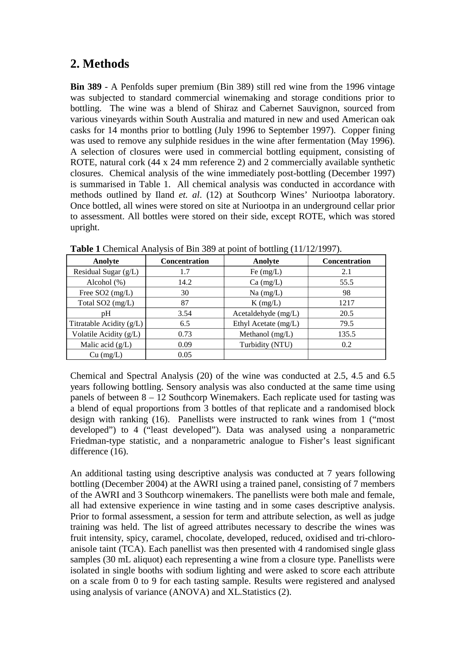### **2. Methods**

**Bin 389** - A Penfolds super premium (Bin 389) still red wine from the 1996 vintage was subjected to standard commercial winemaking and storage conditions prior to bottling. The wine was a blend of Shiraz and Cabernet Sauvignon, sourced from various vineyards within South Australia and matured in new and used American oak casks for 14 months prior to bottling (July 1996 to September 1997). Copper fining was used to remove any sulphide residues in the wine after fermentation (May 1996). A selection of closures were used in commercial bottling equipment, consisting of ROTE, natural cork (44 x 24 mm reference 2) and 2 commercially available synthetic closures. Chemical analysis of the wine immediately post-bottling (December 1997) is summarised in Table 1. All chemical analysis was conducted in accordance with methods outlined by Iland *et. al*. (12) at Southcorp Wines' Nuriootpa laboratory. Once bottled, all wines were stored on site at Nuriootpa in an underground cellar prior to assessment. All bottles were stored on their side, except ROTE, which was stored upright.

| Anolyte                    | <b>Concentration</b> | Anolyte              | Concentration |
|----------------------------|----------------------|----------------------|---------------|
| Residual Sugar (g/L)       | 1.7                  | Fe $(mg/L)$          | 2.1           |
| Alcohol $(\%)$             | 14.2                 | $Ca \, (mg/L)$       | 55.5          |
| Free $SO2$ (mg/L)          | 30                   | $Na$ (mg/L)          | 98            |
| Total SO2 (mg/L)           | 87                   | $K$ (mg/L)           | 1217          |
| pH                         | 3.54                 | Acetaldehyde (mg/L)  | 20.5          |
| Titratable Acidity $(g/L)$ | 6.5                  | Ethyl Acetate (mg/L) | 79.5          |
| Volatile Acidity (g/L)     | 0.73                 | Methanol (mg/L)      | 135.5         |
| Malic acid $(g/L)$         | 0.09                 | Turbidity (NTU)      | 0.2           |
| $Cu$ (mg/L)                | 0.05                 |                      |               |

**Table 1** Chemical Analysis of Bin 389 at point of bottling (11/12/1997).

Chemical and Spectral Analysis (20) of the wine was conducted at 2.5, 4.5 and 6.5 years following bottling. Sensory analysis was also conducted at the same time using panels of between 8 – 12 Southcorp Winemakers. Each replicate used for tasting was a blend of equal proportions from 3 bottles of that replicate and a randomised block design with ranking (16). Panellists were instructed to rank wines from 1 ("most developed") to 4 ("least developed"). Data was analysed using a nonparametric Friedman-type statistic, and a nonparametric analogue to Fisher's least significant difference (16).

An additional tasting using descriptive analysis was conducted at 7 years following bottling (December 2004) at the AWRI using a trained panel, consisting of 7 members of the AWRI and 3 Southcorp winemakers. The panellists were both male and female, all had extensive experience in wine tasting and in some cases descriptive analysis. Prior to formal assessment, a session for term and attribute selection, as well as judge training was held. The list of agreed attributes necessary to describe the wines was fruit intensity, spicy, caramel, chocolate, developed, reduced, oxidised and tri-chloroanisole taint (TCA). Each panellist was then presented with 4 randomised single glass samples (30 mL aliquot) each representing a wine from a closure type. Panellists were isolated in single booths with sodium lighting and were asked to score each attribute on a scale from 0 to 9 for each tasting sample. Results were registered and analysed using analysis of variance (ANOVA) and XL.Statistics (2).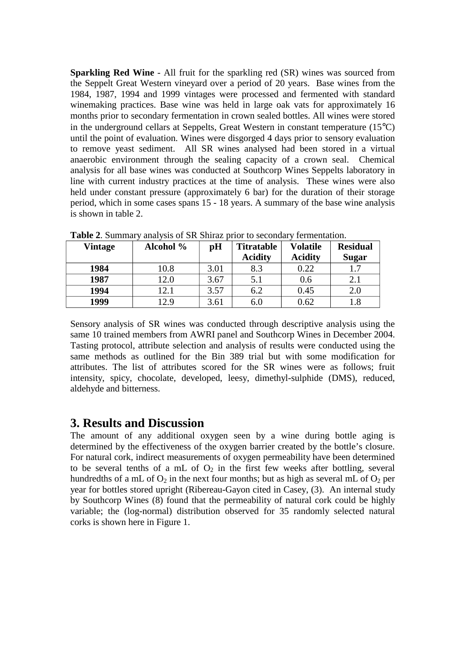**Sparkling Red Wine** - All fruit for the sparkling red (SR) wines was sourced from the Seppelt Great Western vineyard over a period of 20 years. Base wines from the 1984, 1987, 1994 and 1999 vintages were processed and fermented with standard winemaking practices. Base wine was held in large oak vats for approximately 16 months prior to secondary fermentation in crown sealed bottles. All wines were stored in the underground cellars at Seppelts, Great Western in constant temperature (15°C) until the point of evaluation. Wines were disgorged 4 days prior to sensory evaluation to remove yeast sediment. All SR wines analysed had been stored in a virtual anaerobic environment through the sealing capacity of a crown seal. Chemical analysis for all base wines was conducted at Southcorp Wines Seppelts laboratory in line with current industry practices at the time of analysis. These wines were also held under constant pressure (approximately 6 bar) for the duration of their storage period, which in some cases spans 15 - 18 years. A summary of the base wine analysis is shown in table 2.

| <b>Vintage</b> | Alcohol % | pH   | <b>Titratable</b> | <b>Volatile</b> | <b>Residual</b> |
|----------------|-----------|------|-------------------|-----------------|-----------------|
|                |           |      | <b>Acidity</b>    | <b>Acidity</b>  | <b>Sugar</b>    |
| 1984           | 10.8      | 3.01 | 8.3               | 0.22            |                 |
| 1987           | 12.0      | 3.67 | 5.1               | 0.6             | 2.1             |
| 1994           | 12.1      | 3.57 | 6.2               | 0.45            | 2.0             |
| 1999           | 12.9      | 3.61 | 6.0               | 0.62            | 1.8             |

**Table 2**. Summary analysis of SR Shiraz prior to secondary fermentation.

Sensory analysis of SR wines was conducted through descriptive analysis using the same 10 trained members from AWRI panel and Southcorp Wines in December 2004. Tasting protocol, attribute selection and analysis of results were conducted using the same methods as outlined for the Bin 389 trial but with some modification for attributes. The list of attributes scored for the SR wines were as follows; fruit intensity, spicy, chocolate, developed, leesy, dimethyl-sulphide (DMS), reduced, aldehyde and bitterness.

#### **3. Results and Discussion**

The amount of any additional oxygen seen by a wine during bottle aging is determined by the effectiveness of the oxygen barrier created by the bottle's closure. For natural cork, indirect measurements of oxygen permeability have been determined to be several tenths of a mL of  $O_2$  in the first few weeks after bottling, several hundredths of a mL of  $O_2$  in the next four months; but as high as several mL of  $O_2$  per year for bottles stored upright (Ribereau-Gayon cited in Casey, (3). An internal study by Southcorp Wines (8) found that the permeability of natural cork could be highly variable; the (log-normal) distribution observed for 35 randomly selected natural corks is shown here in Figure 1.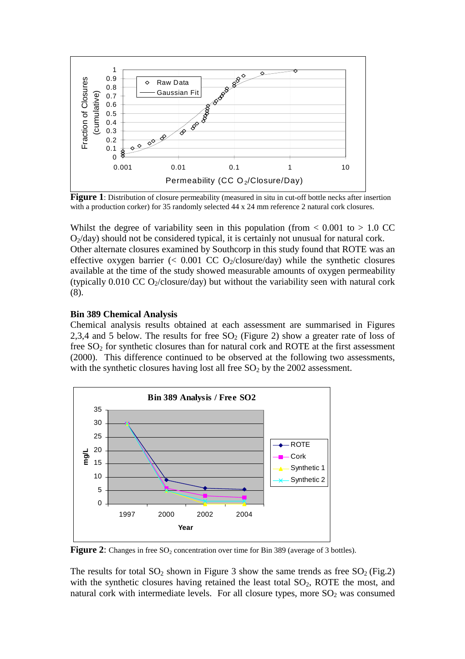

**Figure 1**: Distribution of closure permeability (measured in situ in cut-off bottle necks after insertion with a production corker) for 35 randomly selected 44 x 24 mm reference 2 natural cork closures.

Whilst the degree of variability seen in this population (from  $< 0.001$  to  $> 1.0$  CC  $O_2$ /day) should not be considered typical, it is certainly not unusual for natural cork. Other alternate closures examined by Southcorp in this study found that ROTE was an effective oxygen barrier  $\langle \langle 0.001 \rangle$  CC O<sub>2</sub>/closure/day) while the synthetic closures available at the time of the study showed measurable amounts of oxygen permeability (typically  $0.010$  CC O<sub>2</sub>/closure/day) but without the variability seen with natural cork (8).

#### **Bin 389 Chemical Analysis**

Chemical analysis results obtained at each assessment are summarised in Figures 2,3,4 and 5 below. The results for free  $SO<sub>2</sub>$  (Figure 2) show a greater rate of loss of free  $SO<sub>2</sub>$  for synthetic closures than for natural cork and ROTE at the first assessment (2000). This difference continued to be observed at the following two assessments, with the synthetic closures having lost all free  $SO<sub>2</sub>$  by the 2002 assessment.



**Figure 2:** Changes in free SO<sub>2</sub> concentration over time for Bin 389 (average of 3 bottles).

The results for total  $SO_2$  shown in Figure 3 show the same trends as free  $SO_2$  (Fig.2) with the synthetic closures having retained the least total  $SO<sub>2</sub>$ , ROTE the most, and natural cork with intermediate levels. For all closure types, more  $SO<sub>2</sub>$  was consumed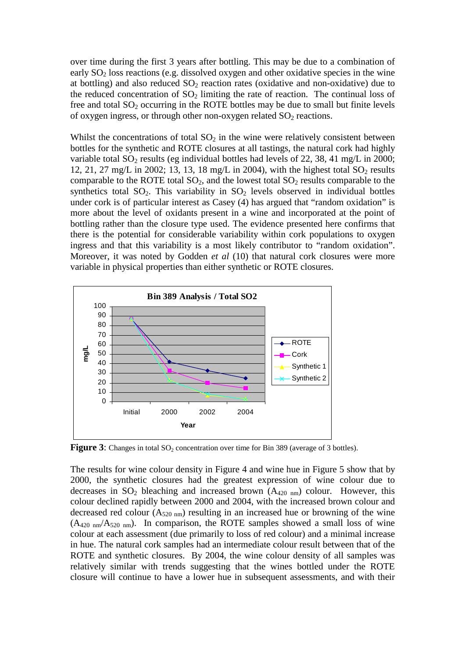over time during the first 3 years after bottling. This may be due to a combination of early  $SO<sub>2</sub>$  loss reactions (e.g. dissolved oxygen and other oxidative species in the wine at bottling) and also reduced  $SO_2$  reaction rates (oxidative and non-oxidative) due to the reduced concentration of  $SO_2$  limiting the rate of reaction. The continual loss of free and total  $SO_2$  occurring in the ROTE bottles may be due to small but finite levels of oxygen ingress, or through other non-oxygen related  $SO<sub>2</sub>$  reactions.

Whilst the concentrations of total  $SO<sub>2</sub>$  in the wine were relatively consistent between bottles for the synthetic and ROTE closures at all tastings, the natural cork had highly variable total  $SO_2$  results (eg individual bottles had levels of 22, 38, 41 mg/L in 2000; 12, 21, 27 mg/L in 2002; 13, 13, 18 mg/L in 2004), with the highest total  $SO_2$  results comparable to the ROTE total  $SO_2$ , and the lowest total  $SO_2$  results comparable to the synthetics total  $SO_2$ . This variability in  $SO_2$  levels observed in individual bottles under cork is of particular interest as Casey (4) has argued that "random oxidation" is more about the level of oxidants present in a wine and incorporated at the point of bottling rather than the closure type used. The evidence presented here confirms that there is the potential for considerable variability within cork populations to oxygen ingress and that this variability is a most likely contributor to "random oxidation". Moreover, it was noted by Godden *et al* (10) that natural cork closures were more variable in physical properties than either synthetic or ROTE closures.



**Figure 3**: Changes in total  $SO_2$  concentration over time for Bin 389 (average of 3 bottles).

The results for wine colour density in Figure 4 and wine hue in Figure 5 show that by 2000, the synthetic closures had the greatest expression of wine colour due to decreases in  $SO_2$  bleaching and increased brown  $(A_{420 \text{ nm}})$  colour. However, this colour declined rapidly between 2000 and 2004, with the increased brown colour and decreased red colour  $(A_{520 \text{ nm}})$  resulting in an increased hue or browning of the wine  $(A_{420\ nm}/A_{520\ nm})$ . In comparison, the ROTE samples showed a small loss of wine colour at each assessment (due primarily to loss of red colour) and a minimal increase in hue. The natural cork samples had an intermediate colour result between that of the ROTE and synthetic closures. By 2004, the wine colour density of all samples was relatively similar with trends suggesting that the wines bottled under the ROTE closure will continue to have a lower hue in subsequent assessments, and with their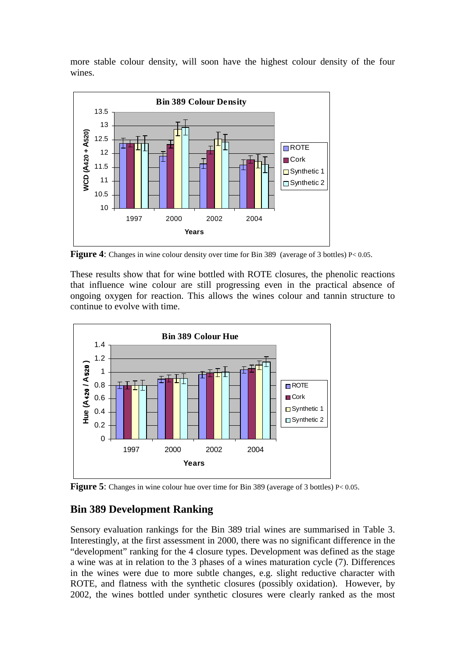more stable colour density, will soon have the highest colour density of the four wines.



**Figure 4:** Changes in wine colour density over time for Bin 389 (average of 3 bottles) P< 0.05.

These results show that for wine bottled with ROTE closures, the phenolic reactions that influence wine colour are still progressing even in the practical absence of ongoing oxygen for reaction. This allows the wines colour and tannin structure to continue to evolve with time.



**Figure 5**: Changes in wine colour hue over time for Bin 389 (average of 3 bottles) P< 0.05.

### **Bin 389 Development Ranking**

Sensory evaluation rankings for the Bin 389 trial wines are summarised in Table 3. Interestingly, at the first assessment in 2000, there was no significant difference in the "development" ranking for the 4 closure types. Development was defined as the stage a wine was at in relation to the 3 phases of a wines maturation cycle (7). Differences in the wines were due to more subtle changes, e.g. slight reductive character with ROTE, and flatness with the synthetic closures (possibly oxidation). However, by 2002, the wines bottled under synthetic closures were clearly ranked as the most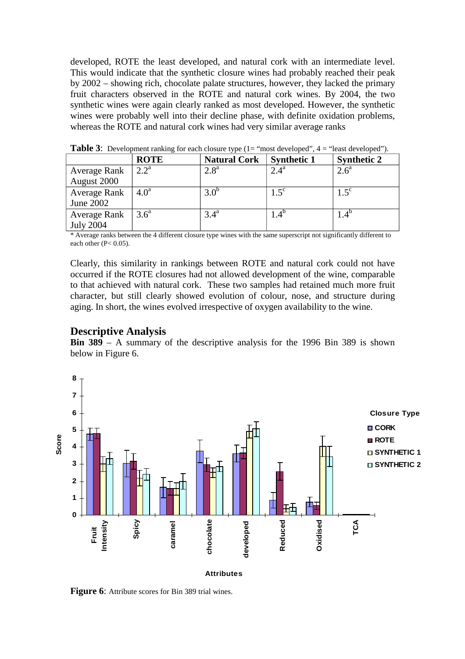developed, ROTE the least developed, and natural cork with an intermediate level. This would indicate that the synthetic closure wines had probably reached their peak by 2002 – showing rich, chocolate palate structures, however, they lacked the primary fruit characters observed in the ROTE and natural cork wines. By 2004, the two synthetic wines were again clearly ranked as most developed. However, the synthetic wines were probably well into their decline phase, with definite oxidation problems, whereas the ROTE and natural cork wines had very similar average ranks

|                     | <b>ROTE</b>      | <b>Natural Cork</b> | <b>Synthetic 1</b> | <b>Synthetic 2</b> |
|---------------------|------------------|---------------------|--------------------|--------------------|
| Average Rank        | $2.2^{\rm a}$    | 2.8 <sup>a</sup>    | $2.4^{\mathrm{a}}$ | $2.6^{\circ}$      |
| August 2000         |                  |                     |                    |                    |
| <b>Average Rank</b> | 4.0 <sup>a</sup> | 3.0 <sup>b</sup>    | $1.5^{\circ}$      | $1.5^{\circ}$      |
| June 2002           |                  |                     |                    |                    |
| Average Rank        | 3.6 <sup>a</sup> | $3.4^{\mathrm{a}}$  | $4.4^{\circ}$      | $1.4^{\circ}$      |
| <b>July 2004</b>    |                  |                     |                    |                    |

**Table 3:** Development ranking for each closure type (1= "most developed", 4 = "least developed").

\* Average ranks between the 4 different closure type wines with the same superscript not significantly different to each other (P< 0.05).

Clearly, this similarity in rankings between ROTE and natural cork could not have occurred if the ROTE closures had not allowed development of the wine, comparable to that achieved with natural cork. These two samples had retained much more fruit character, but still clearly showed evolution of colour, nose, and structure during aging. In short, the wines evolved irrespective of oxygen availability to the wine.

#### **Descriptive Analysis**

**Bin 389** – A summary of the descriptive analysis for the 1996 Bin 389 is shown below in Figure 6.



**Figure 6:** Attribute scores for Bin 389 trial wines.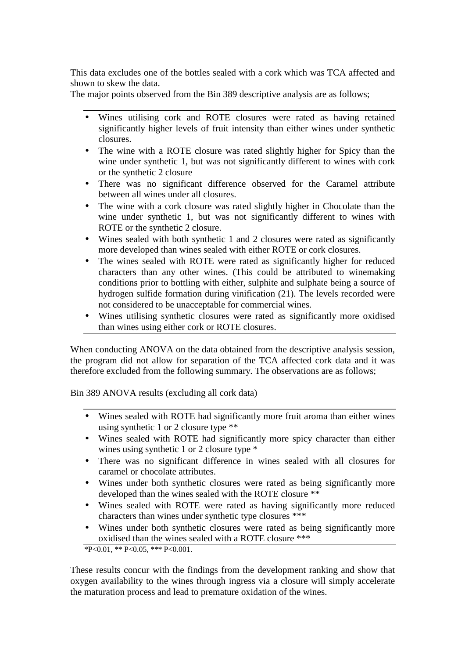This data excludes one of the bottles sealed with a cork which was TCA affected and shown to skew the data.

The major points observed from the Bin 389 descriptive analysis are as follows;

- Wines utilising cork and ROTE closures were rated as having retained significantly higher levels of fruit intensity than either wines under synthetic closures.
- The wine with a ROTE closure was rated slightly higher for Spicy than the wine under synthetic 1, but was not significantly different to wines with cork or the synthetic 2 closure
- There was no significant difference observed for the Caramel attribute between all wines under all closures.
- The wine with a cork closure was rated slightly higher in Chocolate than the wine under synthetic 1, but was not significantly different to wines with ROTE or the synthetic 2 closure.
- Wines sealed with both synthetic 1 and 2 closures were rated as significantly more developed than wines sealed with either ROTE or cork closures.
- The wines sealed with ROTE were rated as significantly higher for reduced characters than any other wines. (This could be attributed to winemaking conditions prior to bottling with either, sulphite and sulphate being a source of hydrogen sulfide formation during vinification (21). The levels recorded were not considered to be unacceptable for commercial wines.
- Wines utilising synthetic closures were rated as significantly more oxidised than wines using either cork or ROTE closures.

When conducting ANOVA on the data obtained from the descriptive analysis session, the program did not allow for separation of the TCA affected cork data and it was therefore excluded from the following summary. The observations are as follows;

Bin 389 ANOVA results (excluding all cork data)

- Wines sealed with ROTE had significantly more fruit aroma than either wines using synthetic 1 or 2 closure type \*\*
- Wines sealed with ROTE had significantly more spicy character than either wines using synthetic 1 or 2 closure type  $*$
- There was no significant difference in wines sealed with all closures for caramel or chocolate attributes.
- Wines under both synthetic closures were rated as being significantly more developed than the wines sealed with the ROTE closure \*\*
- Wines sealed with ROTE were rated as having significantly more reduced characters than wines under synthetic type closures \*\*\*
- Wines under both synthetic closures were rated as being significantly more oxidised than the wines sealed with a ROTE closure \*\*\*

 $*P<0.01$ ,  $*P<0.05$ ,  $**P<0.001$ .

These results concur with the findings from the development ranking and show that oxygen availability to the wines through ingress via a closure will simply accelerate the maturation process and lead to premature oxidation of the wines.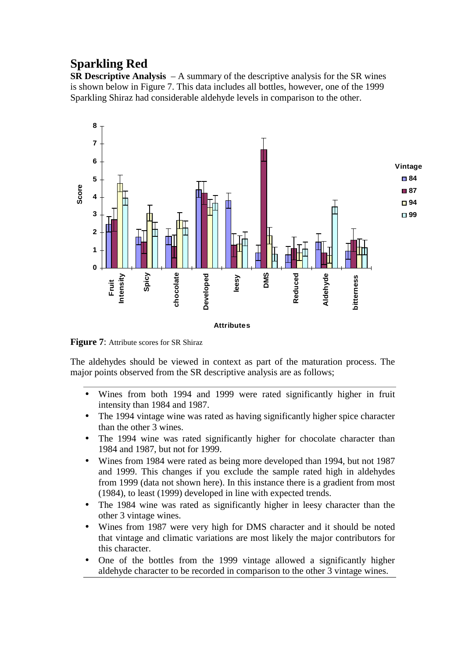# **Sparkling Red**

**SR Descriptive Analysis** – A summary of the descriptive analysis for the SR wines is shown below in Figure 7. This data includes all bottles, however, one of the 1999 Sparkling Shiraz had considerable aldehyde levels in comparison to the other.



**Figure 7:** Attribute scores for SR Shiraz

The aldehydes should be viewed in context as part of the maturation process. The major points observed from the SR descriptive analysis are as follows;

- Wines from both 1994 and 1999 were rated significantly higher in fruit intensity than 1984 and 1987.
- The 1994 vintage wine was rated as having significantly higher spice character than the other 3 wines.
- The 1994 wine was rated significantly higher for chocolate character than 1984 and 1987, but not for 1999.
- Wines from 1984 were rated as being more developed than 1994, but not 1987 and 1999. This changes if you exclude the sample rated high in aldehydes from 1999 (data not shown here). In this instance there is a gradient from most (1984), to least (1999) developed in line with expected trends.
- The 1984 wine was rated as significantly higher in leesy character than the other 3 vintage wines.
- Wines from 1987 were very high for DMS character and it should be noted that vintage and climatic variations are most likely the major contributors for this character.
- One of the bottles from the 1999 vintage allowed a significantly higher aldehyde character to be recorded in comparison to the other 3 vintage wines.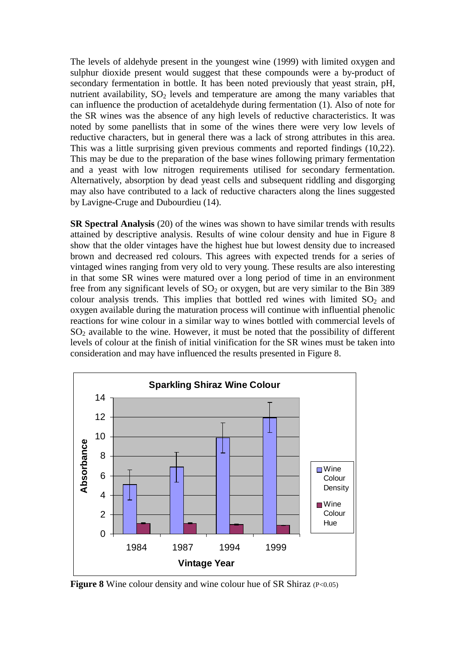The levels of aldehyde present in the youngest wine (1999) with limited oxygen and sulphur dioxide present would suggest that these compounds were a by-product of secondary fermentation in bottle. It has been noted previously that yeast strain, pH, nutrient availability,  $SO_2$  levels and temperature are among the many variables that can influence the production of acetaldehyde during fermentation (1). Also of note for the SR wines was the absence of any high levels of reductive characteristics. It was noted by some panellists that in some of the wines there were very low levels of reductive characters, but in general there was a lack of strong attributes in this area. This was a little surprising given previous comments and reported findings (10,22). This may be due to the preparation of the base wines following primary fermentation and a yeast with low nitrogen requirements utilised for secondary fermentation. Alternatively, absorption by dead yeast cells and subsequent riddling and disgorging may also have contributed to a lack of reductive characters along the lines suggested by Lavigne-Cruge and Dubourdieu (14).

**SR Spectral Analysis** (20) of the wines was shown to have similar trends with results attained by descriptive analysis. Results of wine colour density and hue in Figure 8 show that the older vintages have the highest hue but lowest density due to increased brown and decreased red colours. This agrees with expected trends for a series of vintaged wines ranging from very old to very young. These results are also interesting in that some SR wines were matured over a long period of time in an environment free from any significant levels of  $SO<sub>2</sub>$  or oxygen, but are very similar to the Bin 389 colour analysis trends. This implies that bottled red wines with limited  $SO_2$  and oxygen available during the maturation process will continue with influential phenolic reactions for wine colour in a similar way to wines bottled with commercial levels of  $SO<sub>2</sub>$  available to the wine. However, it must be noted that the possibility of different levels of colour at the finish of initial vinification for the SR wines must be taken into consideration and may have influenced the results presented in Figure 8.



**Figure 8** Wine colour density and wine colour hue of SR Shiraz (P<0.05)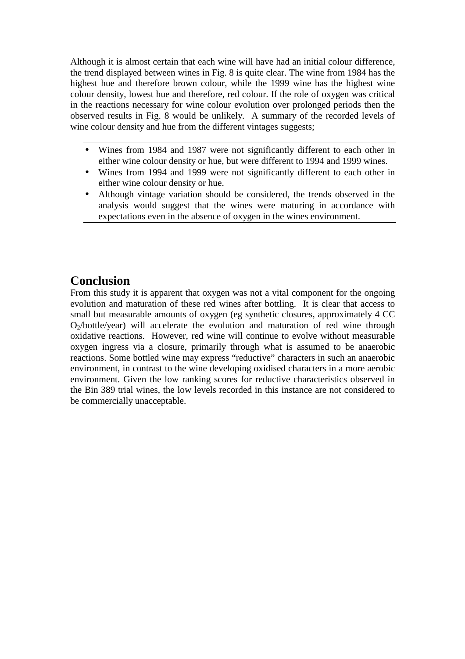Although it is almost certain that each wine will have had an initial colour difference, the trend displayed between wines in Fig. 8 is quite clear. The wine from 1984 has the highest hue and therefore brown colour, while the 1999 wine has the highest wine colour density, lowest hue and therefore, red colour. If the role of oxygen was critical in the reactions necessary for wine colour evolution over prolonged periods then the observed results in Fig. 8 would be unlikely. A summary of the recorded levels of wine colour density and hue from the different vintages suggests;

- Wines from 1984 and 1987 were not significantly different to each other in either wine colour density or hue, but were different to 1994 and 1999 wines.
- Wines from 1994 and 1999 were not significantly different to each other in either wine colour density or hue.
- Although vintage variation should be considered, the trends observed in the analysis would suggest that the wines were maturing in accordance with expectations even in the absence of oxygen in the wines environment.

# **Conclusion**

From this study it is apparent that oxygen was not a vital component for the ongoing evolution and maturation of these red wines after bottling. It is clear that access to small but measurable amounts of oxygen (eg synthetic closures, approximately 4 CC  $O_2/bottle/year$ ) will accelerate the evolution and maturation of red wine through oxidative reactions. However, red wine will continue to evolve without measurable oxygen ingress via a closure, primarily through what is assumed to be anaerobic reactions. Some bottled wine may express "reductive" characters in such an anaerobic environment, in contrast to the wine developing oxidised characters in a more aerobic environment. Given the low ranking scores for reductive characteristics observed in the Bin 389 trial wines, the low levels recorded in this instance are not considered to be commercially unacceptable.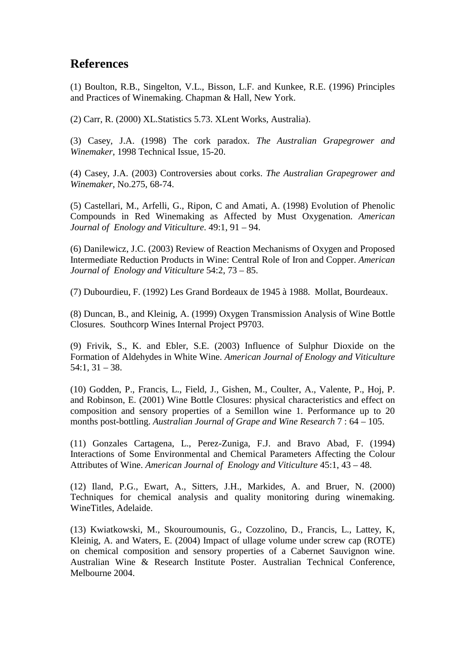### **References**

(1) Boulton, R.B., Singelton, V.L., Bisson, L.F. and Kunkee, R.E. (1996) Principles and Practices of Winemaking. Chapman & Hall, New York.

(2) Carr, R. (2000) XL.Statistics 5.73. XLent Works, Australia).

(3) Casey, J.A. (1998) The cork paradox. *The Australian Grapegrower and Winemaker*, 1998 Technical Issue, 15-20.

(4) Casey, J.A. (2003) Controversies about corks. *The Australian Grapegrower and Winemaker*, No.275, 68-74.

(5) Castellari, M., Arfelli, G., Ripon, C and Amati, A. (1998) Evolution of Phenolic Compounds in Red Winemaking as Affected by Must Oxygenation. *American Journal of Enology and Viticulture*. 49:1, 91 – 94.

(6) Danilewicz, J.C. (2003) Review of Reaction Mechanisms of Oxygen and Proposed Intermediate Reduction Products in Wine: Central Role of Iron and Copper. *American Journal of Enology and Viticulture* 54:2, 73 – 85.

(7) Dubourdieu, F. (1992) Les Grand Bordeaux de 1945 à 1988. Mollat, Bourdeaux.

(8) Duncan, B., and Kleinig, A. (1999) Oxygen Transmission Analysis of Wine Bottle Closures. Southcorp Wines Internal Project P9703.

(9) Frivik, S., K. and Ebler, S.E. (2003) Influence of Sulphur Dioxide on the Formation of Aldehydes in White Wine. *American Journal of Enology and Viticulture*   $54:1, 31 - 38.$ 

(10) Godden, P., Francis, L., Field, J., Gishen, M., Coulter, A., Valente, P., Hoj, P. and Robinson, E. (2001) Wine Bottle Closures: physical characteristics and effect on composition and sensory properties of a Semillon wine 1. Performance up to 20 months post-bottling. *Australian Journal of Grape and Wine Research* 7 : 64 – 105.

(11) Gonzales Cartagena, L., Perez-Zuniga, F.J. and Bravo Abad, F. (1994) Interactions of Some Environmental and Chemical Parameters Affecting the Colour Attributes of Wine. *American Journal of Enology and Viticulture* 45:1, 43 – 48.

(12) Iland, P.G., Ewart, A., Sitters, J.H., Markides, A. and Bruer, N. (2000) Techniques for chemical analysis and quality monitoring during winemaking. WineTitles, Adelaide.

(13) Kwiatkowski, M., Skouroumounis, G., Cozzolino, D., Francis, L., Lattey, K, Kleinig, A. and Waters, E. (2004) Impact of ullage volume under screw cap (ROTE) on chemical composition and sensory properties of a Cabernet Sauvignon wine. Australian Wine & Research Institute Poster. Australian Technical Conference, Melbourne 2004.